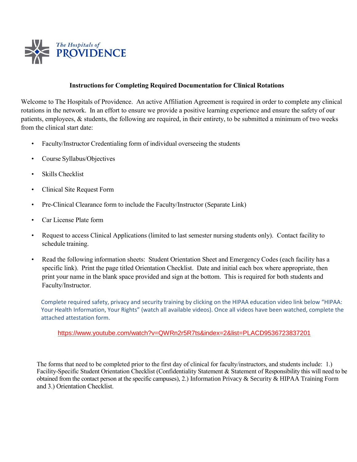

#### **Instructions for Completing Required Documentation for Clinical Rotations**

 Welcome to The Hospitals of Providence. An active Affiliation Agreement is required in order to complete any clinical rotations in the network. In an effort to ensure we provide a positive learning experience and ensure the safety of our patients, employees, & students, the following are required, in their entirety, to be submitted a minimum of two weeks from the clinical start date:

- Faculty/Instructor Credentialing form of individual overseeing the students
- Course Syllabus/Objectives
- Skills Checklist
- Clinical Site Request Form
- Pre-Clinical Clearance form to include the Faculty/Instructor (Separate Link)
- Car License Plate form
- • Request to access Clinical Applications (limited to last semester nursing students only). Contact facility to schedule training.
- • Read the following information sheets: Student Orientation Sheet and Emergency Codes (each facility has a specific link). Print the page titled Orientation Checklist. Date and initial each box where appropriate, then print your name in the blank space provided and sign at the bottom. This is required for both students and Faculty/Instructor.

 Complete required safety, privacy and security training by clicking on the HIPAA education video link below "HIPAA: Your Health Information, Your Rights" (watch all available videos). Once all videos have been watched, complete the attached attestation form.

<https://www.youtube.com/watch?v=QWRn2r5R7ts&index=2&list=PLACD9536723837201>

 The forms that need to be completed prior to the first day of clinical for faculty/instructors, and students include: 1.) Facility-Specific Student Orientation Checklist (Confidentiality Statement & Statement of Responsibility this will need to be obtained from the contact person at the specific campuses), 2.) Information Privacy & Security & HIPAA Training Form and 3.) Orientation Checklist.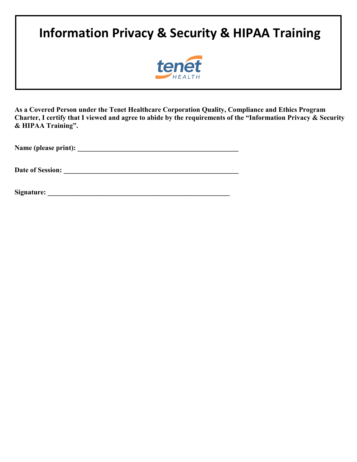# **Information Privacy & Security & HIPAA Training**



**As a Covered Person under the Tenet Healthcare Corporation Quality, Compliance and Ethics Program Charter, I certify that I viewed and agree to abide by the requirements of the "Information Privacy & Security & HIPAA Training".**

**Name (please print):** 

**Date of Session: \_\_\_\_\_\_\_\_\_\_\_\_\_\_\_\_\_\_\_\_\_\_\_\_\_\_\_\_\_\_\_\_\_\_\_\_\_\_\_\_\_\_\_\_\_\_\_\_\_\_** 

**Signature: \_\_\_\_\_\_\_\_\_\_\_\_\_\_\_\_\_\_\_\_\_\_\_\_\_\_\_\_\_\_\_\_\_\_\_\_\_\_\_\_\_\_\_\_\_\_\_\_\_\_\_\_**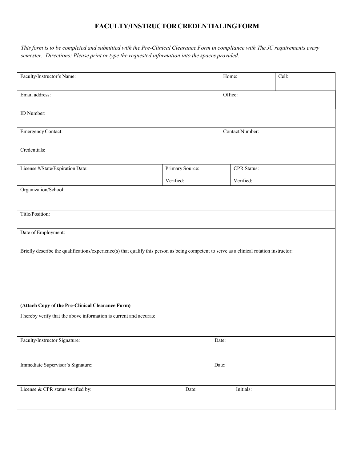### **FACULTY/INSTRUCTOR CREDENTIALINGFORM**

 *This form is to be completed and submitted with the Pre-Clinical Clearance Form in compliance with The JC requirements every semester. Directions: Please print or type the requested information into the spaces provided.* 

| Faculty/Instructor's Name:                                                                                                                |                 |                    | Home:           | Cell: |  |
|-------------------------------------------------------------------------------------------------------------------------------------------|-----------------|--------------------|-----------------|-------|--|
| Email address:                                                                                                                            |                 |                    | Office:         |       |  |
| ID Number:                                                                                                                                |                 |                    |                 |       |  |
| Emergency Contact:                                                                                                                        |                 |                    | Contact Number: |       |  |
| Credentials:                                                                                                                              |                 |                    |                 |       |  |
| License #/State/Expiration Date:                                                                                                          | Primary Source: | <b>CPR</b> Status: |                 |       |  |
|                                                                                                                                           | Verified:       |                    | Verified:       |       |  |
| Organization/School:                                                                                                                      |                 |                    |                 |       |  |
| Title/Position:                                                                                                                           |                 |                    |                 |       |  |
| Date of Employment:                                                                                                                       |                 |                    |                 |       |  |
| Briefly describe the qualifications/experience(s) that qualify this person as being competent to serve as a clinical rotation instructor: |                 |                    |                 |       |  |
| (Attach Copy of the Pre-Clinical Clearance Form)                                                                                          |                 |                    |                 |       |  |
| I hereby verify that the above information is current and accurate:                                                                       |                 |                    |                 |       |  |
| Faculty/Instructor Signature:                                                                                                             | Date:           |                    |                 |       |  |
| Immediate Supervisor's Signature:                                                                                                         | Date:           |                    |                 |       |  |
| License & CPR status verified by:                                                                                                         | Date:           |                    | Initials:       |       |  |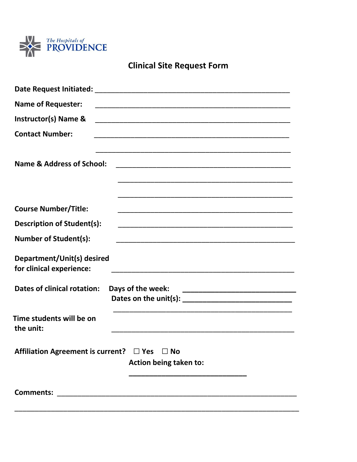

# **Clinical Site Request Form**

| <b>Name of Requester:</b>                                                                           |
|-----------------------------------------------------------------------------------------------------|
| <b>Instructor(s) Name &amp;</b>                                                                     |
| <b>Contact Number:</b>                                                                              |
| <u> 1989 - Johann Stoff, amerikansk politiker (d. 1989)</u><br><b>Name &amp; Address of School:</b> |
| <b>Course Number/Title:</b>                                                                         |
| <b>Description of Student(s):</b>                                                                   |
| <b>Number of Student(s):</b>                                                                        |
| Department/Unit(s) desired<br>for clinical experience:                                              |
| <b>Dates of clinical rotation:</b><br>Days of the week:                                             |
| Time students will be on<br>the unit:                                                               |
| Affiliation Agreement is current? $\Box$ Yes $\Box$ No<br>Action being taken to:                    |
|                                                                                                     |
|                                                                                                     |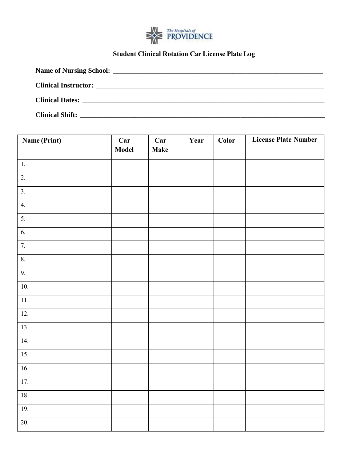

## **Student Clinical Rotation Car License Plate Log**

| <b>Clinical Dates:</b> The Contract of the Contract of the Contract of the Contract of the Contract of the Contract of the Contract of the Contract of the Contract of the Contract of the Contract of the Contract of the Contract |
|-------------------------------------------------------------------------------------------------------------------------------------------------------------------------------------------------------------------------------------|
| <b>Clinical Shift:</b> The contract of the contract of the contract of the contract of the contract of the contract of the contract of the contract of the contract of the contract of the contract of the contract of the contract |

| Name (Print)     | Car<br><b>Model</b> | Car<br>Make | Year | Color | <b>License Plate Number</b> |
|------------------|---------------------|-------------|------|-------|-----------------------------|
| 1.               |                     |             |      |       |                             |
| $\overline{2}$ . |                     |             |      |       |                             |
| 3.               |                     |             |      |       |                             |
| 4.               |                     |             |      |       |                             |
| $\overline{5}$ . |                     |             |      |       |                             |
| $\overline{6}$ . |                     |             |      |       |                             |
| $\overline{7}$ . |                     |             |      |       |                             |
| 8.               |                     |             |      |       |                             |
| 9.               |                     |             |      |       |                             |
| $10.$            |                     |             |      |       |                             |
| 11.              |                     |             |      |       |                             |
| 12.              |                     |             |      |       |                             |
| 13.              |                     |             |      |       |                             |
| 14.              |                     |             |      |       |                             |
| 15.              |                     |             |      |       |                             |
| 16.              |                     |             |      |       |                             |
| $17.$            |                     |             |      |       |                             |
| 18.              |                     |             |      |       |                             |
| 19.              |                     |             |      |       |                             |
| 20.              |                     |             |      |       |                             |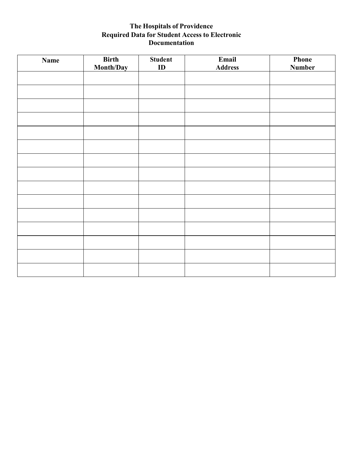### **The Hospitals of Providence Required Data for Student Access to Electronic Documentation**

| <b>Name</b> | <b>Birth</b><br><b>Month/Day</b> | <b>Student</b><br>$\mathbf{ID}$ | Email<br><b>Address</b> | Phone<br><b>Number</b> |
|-------------|----------------------------------|---------------------------------|-------------------------|------------------------|
|             |                                  |                                 |                         |                        |
|             |                                  |                                 |                         |                        |
|             |                                  |                                 |                         |                        |
|             |                                  |                                 |                         |                        |
|             |                                  |                                 |                         |                        |
|             |                                  |                                 |                         |                        |
|             |                                  |                                 |                         |                        |
|             |                                  |                                 |                         |                        |
|             |                                  |                                 |                         |                        |
|             |                                  |                                 |                         |                        |
|             |                                  |                                 |                         |                        |
|             |                                  |                                 |                         |                        |
|             |                                  |                                 |                         |                        |
|             |                                  |                                 |                         |                        |
|             |                                  |                                 |                         |                        |
|             |                                  |                                 |                         |                        |